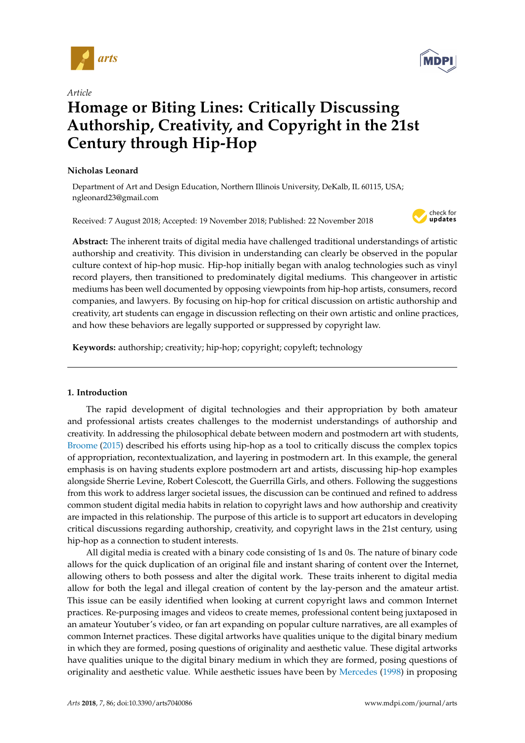

# *Article*

# **Homage or Biting Lines: Critically Discussing Authorship, Creativity, and Copyright in the 21st Century through Hip-Hop**

## **Nicholas Leonard**

Department of Art and Design Education, Northern Illinois University, DeKalb, IL 60115, USA; ngleonard23@gmail.com

Received: 7 August 2018; Accepted: 19 November 2018; Published: 22 November 2018



**Abstract:** The inherent traits of digital media have challenged traditional understandings of artistic authorship and creativity. This division in understanding can clearly be observed in the popular culture context of hip-hop music. Hip-hop initially began with analog technologies such as vinyl record players, then transitioned to predominately digital mediums. This changeover in artistic mediums has been well documented by opposing viewpoints from hip-hop artists, consumers, record companies, and lawyers. By focusing on hip-hop for critical discussion on artistic authorship and creativity, art students can engage in discussion reflecting on their own artistic and online practices, and how these behaviors are legally supported or suppressed by copyright law.

**Keywords:** authorship; creativity; hip-hop; copyright; copyleft; technology

# **1. Introduction**

The rapid development of digital technologies and their appropriation by both amateur and professional artists creates challenges to the modernist understandings of authorship and creativity. In addressing the philosophical debate between modern and postmodern art with students, [Broome](#page-7-0) [\(2015\)](#page-7-0) described his efforts using hip-hop as a tool to critically discuss the complex topics of appropriation, recontextualization, and layering in postmodern art. In this example, the general emphasis is on having students explore postmodern art and artists, discussing hip-hop examples alongside Sherrie Levine, Robert Colescott, the Guerrilla Girls, and others. Following the suggestions from this work to address larger societal issues, the discussion can be continued and refined to address common student digital media habits in relation to copyright laws and how authorship and creativity are impacted in this relationship. The purpose of this article is to support art educators in developing critical discussions regarding authorship, creativity, and copyright laws in the 21st century, using hip-hop as a connection to student interests.

All digital media is created with a binary code consisting of 1s and 0s. The nature of binary code allows for the quick duplication of an original file and instant sharing of content over the Internet, allowing others to both possess and alter the digital work. These traits inherent to digital media allow for both the legal and illegal creation of content by the lay-person and the amateur artist. This issue can be easily identified when looking at current copyright laws and common Internet practices. Re-purposing images and videos to create memes, professional content being juxtaposed in an amateur Youtuber's video, or fan art expanding on popular culture narratives, are all examples of common Internet practices. These digital artworks have qualities unique to the digital binary medium in which they are formed, posing questions of originality and aesthetic value. These digital artworks have qualities unique to the digital binary medium in which they are formed, posing questions of originality and aesthetic value. While aesthetic issues have been by [Mercedes](#page-8-0) [\(1998\)](#page-8-0) in proposing

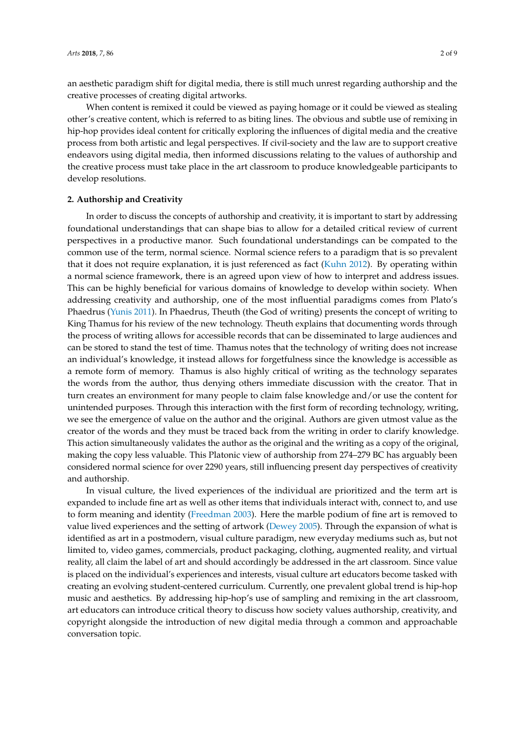an aesthetic paradigm shift for digital media, there is still much unrest regarding authorship and the creative processes of creating digital artworks.

When content is remixed it could be viewed as paying homage or it could be viewed as stealing other's creative content, which is referred to as biting lines. The obvious and subtle use of remixing in hip-hop provides ideal content for critically exploring the influences of digital media and the creative process from both artistic and legal perspectives. If civil-society and the law are to support creative endeavors using digital media, then informed discussions relating to the values of authorship and the creative process must take place in the art classroom to produce knowledgeable participants to develop resolutions.

#### **2. Authorship and Creativity**

In order to discuss the concepts of authorship and creativity, it is important to start by addressing foundational understandings that can shape bias to allow for a detailed critical review of current perspectives in a productive manor. Such foundational understandings can be compated to the common use of the term, normal science. Normal science refers to a paradigm that is so prevalent that it does not require explanation, it is just referenced as fact [\(Kuhn](#page-8-1) [2012\)](#page-8-1). By operating within a normal science framework, there is an agreed upon view of how to interpret and address issues. This can be highly beneficial for various domains of knowledge to develop within society. When addressing creativity and authorship, one of the most influential paradigms comes from Plato's Phaedrus [\(Yunis](#page-8-2) [2011\)](#page-8-2). In Phaedrus, Theuth (the God of writing) presents the concept of writing to King Thamus for his review of the new technology. Theuth explains that documenting words through the process of writing allows for accessible records that can be disseminated to large audiences and can be stored to stand the test of time. Thamus notes that the technology of writing does not increase an individual's knowledge, it instead allows for forgetfulness since the knowledge is accessible as a remote form of memory. Thamus is also highly critical of writing as the technology separates the words from the author, thus denying others immediate discussion with the creator. That in turn creates an environment for many people to claim false knowledge and/or use the content for unintended purposes. Through this interaction with the first form of recording technology, writing, we see the emergence of value on the author and the original. Authors are given utmost value as the creator of the words and they must be traced back from the writing in order to clarify knowledge. This action simultaneously validates the author as the original and the writing as a copy of the original, making the copy less valuable. This Platonic view of authorship from 274–279 BC has arguably been considered normal science for over 2290 years, still influencing present day perspectives of creativity and authorship.

In visual culture, the lived experiences of the individual are prioritized and the term art is expanded to include fine art as well as other items that individuals interact with, connect to, and use to form meaning and identity [\(Freedman](#page-8-3) [2003\)](#page-8-3). Here the marble podium of fine art is removed to value lived experiences and the setting of artwork [\(Dewey](#page-7-1) [2005\)](#page-7-1). Through the expansion of what is identified as art in a postmodern, visual culture paradigm, new everyday mediums such as, but not limited to, video games, commercials, product packaging, clothing, augmented reality, and virtual reality, all claim the label of art and should accordingly be addressed in the art classroom. Since value is placed on the individual's experiences and interests, visual culture art educators become tasked with creating an evolving student-centered curriculum. Currently, one prevalent global trend is hip-hop music and aesthetics. By addressing hip-hop's use of sampling and remixing in the art classroom, art educators can introduce critical theory to discuss how society values authorship, creativity, and copyright alongside the introduction of new digital media through a common and approachable conversation topic.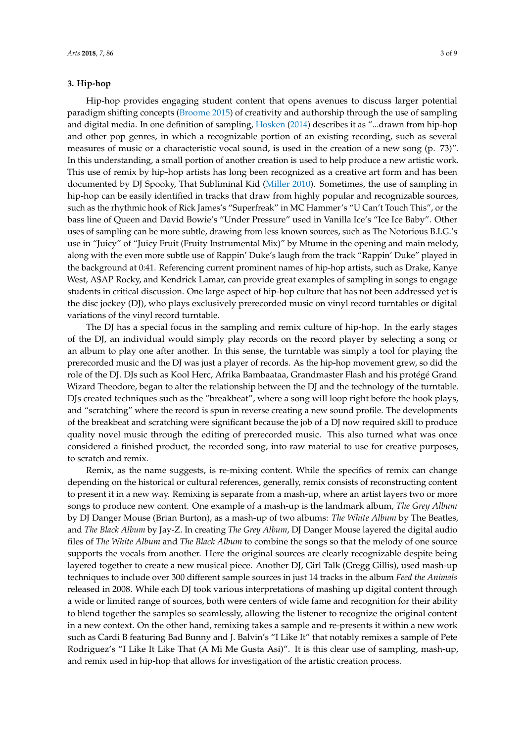## **3. Hip-hop**

Hip-hop provides engaging student content that opens avenues to discuss larger potential paradigm shifting concepts [\(Broome](#page-7-0) [2015\)](#page-7-0) of creativity and authorship through the use of sampling and digital media. In one definition of sampling, [Hosken](#page-8-4) [\(2014\)](#page-8-4) describes it as "...drawn from hip-hop and other pop genres, in which a recognizable portion of an existing recording, such as several measures of music or a characteristic vocal sound, is used in the creation of a new song (p. 73)". In this understanding, a small portion of another creation is used to help produce a new artistic work. This use of remix by hip-hop artists has long been recognized as a creative art form and has been documented by DJ Spooky, That Subliminal Kid [\(Miller](#page-8-5) [2010\)](#page-8-5). Sometimes, the use of sampling in hip-hop can be easily identified in tracks that draw from highly popular and recognizable sources, such as the rhythmic hook of Rick James's "Superfreak" in MC Hammer's "U Can't Touch This", or the bass line of Queen and David Bowie's "Under Pressure" used in Vanilla Ice's "Ice Ice Baby". Other uses of sampling can be more subtle, drawing from less known sources, such as The Notorious B.I.G.'s use in "Juicy" of "Juicy Fruit (Fruity Instrumental Mix)" by Mtume in the opening and main melody, along with the even more subtle use of Rappin' Duke's laugh from the track "Rappin' Duke" played in the background at 0:41. Referencing current prominent names of hip-hop artists, such as Drake, Kanye West, A\$AP Rocky, and Kendrick Lamar, can provide great examples of sampling in songs to engage students in critical discussion. One large aspect of hip-hop culture that has not been addressed yet is the disc jockey (DJ), who plays exclusively prerecorded music on vinyl record turntables or digital variations of the vinyl record turntable.

The DJ has a special focus in the sampling and remix culture of hip-hop. In the early stages of the DJ, an individual would simply play records on the record player by selecting a song or an album to play one after another. In this sense, the turntable was simply a tool for playing the prerecorded music and the DJ was just a player of records. As the hip-hop movement grew, so did the role of the DJ. DJs such as Kool Herc, Afrika Bambaataa, Grandmaster Flash and his protégé Grand Wizard Theodore, began to alter the relationship between the DJ and the technology of the turntable. DJs created techniques such as the "breakbeat", where a song will loop right before the hook plays, and "scratching" where the record is spun in reverse creating a new sound profile. The developments of the breakbeat and scratching were significant because the job of a DJ now required skill to produce quality novel music through the editing of prerecorded music. This also turned what was once considered a finished product, the recorded song, into raw material to use for creative purposes, to scratch and remix.

Remix, as the name suggests, is re-mixing content. While the specifics of remix can change depending on the historical or cultural references, generally, remix consists of reconstructing content to present it in a new way. Remixing is separate from a mash-up, where an artist layers two or more songs to produce new content. One example of a mash-up is the landmark album, *The Grey Album* by DJ Danger Mouse (Brian Burton), as a mash-up of two albums: *The White Album* by The Beatles, and *The Black Album* by Jay-Z. In creating *The Grey Album*, DJ Danger Mouse layered the digital audio files of *The White Album* and *The Black Album* to combine the songs so that the melody of one source supports the vocals from another. Here the original sources are clearly recognizable despite being layered together to create a new musical piece. Another DJ, Girl Talk (Gregg Gillis), used mash-up techniques to include over 300 different sample sources in just 14 tracks in the album *Feed the Animals* released in 2008. While each DJ took various interpretations of mashing up digital content through a wide or limited range of sources, both were centers of wide fame and recognition for their ability to blend together the samples so seamlessly, allowing the listener to recognize the original content in a new context. On the other hand, remixing takes a sample and re-presents it within a new work such as Cardi B featuring Bad Bunny and J. Balvin's "I Like It" that notably remixes a sample of Pete Rodriguez's "I Like It Like That (A Mi Me Gusta Asi)". It is this clear use of sampling, mash-up, and remix used in hip-hop that allows for investigation of the artistic creation process.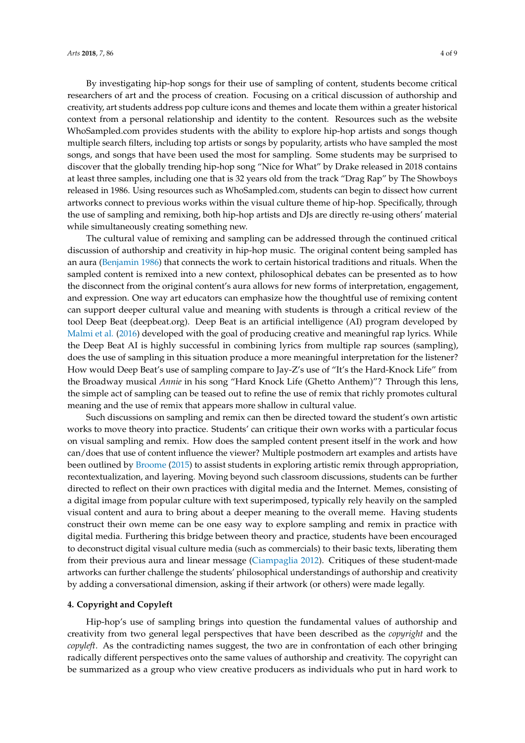By investigating hip-hop songs for their use of sampling of content, students become critical researchers of art and the process of creation. Focusing on a critical discussion of authorship and creativity, art students address pop culture icons and themes and locate them within a greater historical context from a personal relationship and identity to the content. Resources such as the website WhoSampled.com provides students with the ability to explore hip-hop artists and songs though multiple search filters, including top artists or songs by popularity, artists who have sampled the most songs, and songs that have been used the most for sampling. Some students may be surprised to discover that the globally trending hip-hop song "Nice for What" by Drake released in 2018 contains at least three samples, including one that is 32 years old from the track "Drag Rap" by The Showboys released in 1986. Using resources such as WhoSampled.com, students can begin to dissect how current artworks connect to previous works within the visual culture theme of hip-hop. Specifically, through the use of sampling and remixing, both hip-hop artists and DJs are directly re-using others' material while simultaneously creating something new.

The cultural value of remixing and sampling can be addressed through the continued critical discussion of authorship and creativity in hip-hop music. The original content being sampled has an aura [\(Benjamin](#page-7-2) [1986\)](#page-7-2) that connects the work to certain historical traditions and rituals. When the sampled content is remixed into a new context, philosophical debates can be presented as to how the disconnect from the original content's aura allows for new forms of interpretation, engagement, and expression. One way art educators can emphasize how the thoughtful use of remixing content can support deeper cultural value and meaning with students is through a critical review of the tool Deep Beat (deepbeat.org). Deep Beat is an artificial intelligence (AI) program developed by [Malmi et al.](#page-8-6) [\(2016\)](#page-8-6) developed with the goal of producing creative and meaningful rap lyrics. While the Deep Beat AI is highly successful in combining lyrics from multiple rap sources (sampling), does the use of sampling in this situation produce a more meaningful interpretation for the listener? How would Deep Beat's use of sampling compare to Jay-Z's use of "It's the Hard-Knock Life" from the Broadway musical *Annie* in his song "Hard Knock Life (Ghetto Anthem)"? Through this lens, the simple act of sampling can be teased out to refine the use of remix that richly promotes cultural meaning and the use of remix that appears more shallow in cultural value.

Such discussions on sampling and remix can then be directed toward the student's own artistic works to move theory into practice. Students' can critique their own works with a particular focus on visual sampling and remix. How does the sampled content present itself in the work and how can/does that use of content influence the viewer? Multiple postmodern art examples and artists have been outlined by [Broome](#page-7-0) [\(2015\)](#page-7-0) to assist students in exploring artistic remix through appropriation, recontextualization, and layering. Moving beyond such classroom discussions, students can be further directed to reflect on their own practices with digital media and the Internet. Memes, consisting of a digital image from popular culture with text superimposed, typically rely heavily on the sampled visual content and aura to bring about a deeper meaning to the overall meme. Having students construct their own meme can be one easy way to explore sampling and remix in practice with digital media. Furthering this bridge between theory and practice, students have been encouraged to deconstruct digital visual culture media (such as commercials) to their basic texts, liberating them from their previous aura and linear message [\(Ciampaglia](#page-7-3) [2012\)](#page-7-3). Critiques of these student-made artworks can further challenge the students' philosophical understandings of authorship and creativity by adding a conversational dimension, asking if their artwork (or others) were made legally.

### **4. Copyright and Copyleft**

Hip-hop's use of sampling brings into question the fundamental values of authorship and creativity from two general legal perspectives that have been described as the *copyright* and the *copyleft*. As the contradicting names suggest, the two are in confrontation of each other bringing radically different perspectives onto the same values of authorship and creativity. The copyright can be summarized as a group who view creative producers as individuals who put in hard work to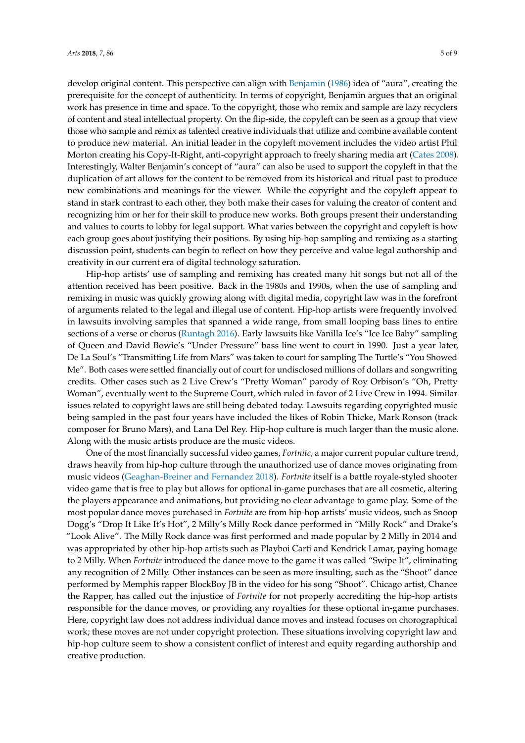develop original content. This perspective can align with [Benjamin](#page-7-2) [\(1986\)](#page-7-2) idea of "aura", creating the prerequisite for the concept of authenticity. In terms of copyright, Benjamin argues that an original work has presence in time and space. To the copyright, those who remix and sample are lazy recyclers of content and steal intellectual property. On the flip-side, the copyleft can be seen as a group that view those who sample and remix as talented creative individuals that utilize and combine available content to produce new material. An initial leader in the copyleft movement includes the video artist Phil Morton creating his Copy-It-Right, anti-copyright approach to freely sharing media art [\(Cates](#page-7-4) [2008\)](#page-7-4). Interestingly, Walter Benjamin's concept of "aura" can also be used to support the copyleft in that the duplication of art allows for the content to be removed from its historical and ritual past to produce new combinations and meanings for the viewer. While the copyright and the copyleft appear to stand in stark contrast to each other, they both make their cases for valuing the creator of content and recognizing him or her for their skill to produce new works. Both groups present their understanding and values to courts to lobby for legal support. What varies between the copyright and copyleft is how each group goes about justifying their positions. By using hip-hop sampling and remixing as a starting discussion point, students can begin to reflect on how they perceive and value legal authorship and creativity in our current era of digital technology saturation.

Hip-hop artists' use of sampling and remixing has created many hit songs but not all of the attention received has been positive. Back in the 1980s and 1990s, when the use of sampling and remixing in music was quickly growing along with digital media, copyright law was in the forefront of arguments related to the legal and illegal use of content. Hip-hop artists were frequently involved in lawsuits involving samples that spanned a wide range, from small looping bass lines to entire sections of a verse or chorus [\(Runtagh](#page-8-7) [2016\)](#page-8-7). Early lawsuits like Vanilla Ice's "Ice Ice Baby" sampling of Queen and David Bowie's "Under Pressure" bass line went to court in 1990. Just a year later, De La Soul's "Transmitting Life from Mars" was taken to court for sampling The Turtle's "You Showed Me". Both cases were settled financially out of court for undisclosed millions of dollars and songwriting credits. Other cases such as 2 Live Crew's "Pretty Woman" parody of Roy Orbison's "Oh, Pretty Woman", eventually went to the Supreme Court, which ruled in favor of 2 Live Crew in 1994. Similar issues related to copyright laws are still being debated today. Lawsuits regarding copyrighted music being sampled in the past four years have included the likes of Robin Thicke, Mark Ronson (track composer for Bruno Mars), and Lana Del Rey. Hip-hop culture is much larger than the music alone. Along with the music artists produce are the music videos.

One of the most financially successful video games, *Fortnite*, a major current popular culture trend, draws heavily from hip-hop culture through the unauthorized use of dance moves originating from music videos [\(Geaghan-Breiner and Fernandez](#page-8-8) [2018\)](#page-8-8). *Fortnite* itself is a battle royale-styled shooter video game that is free to play but allows for optional in-game purchases that are all cosmetic, altering the players appearance and animations, but providing no clear advantage to game play. Some of the most popular dance moves purchased in *Fortnite* are from hip-hop artists' music videos, such as Snoop Dogg's "Drop It Like It's Hot", 2 Milly's Milly Rock dance performed in "Milly Rock" and Drake's "Look Alive". The Milly Rock dance was first performed and made popular by 2 Milly in 2014 and was appropriated by other hip-hop artists such as Playboi Carti and Kendrick Lamar, paying homage to 2 Milly. When *Fortnite* introduced the dance move to the game it was called "Swipe It", eliminating any recognition of 2 Milly. Other instances can be seen as more insulting, such as the "Shoot" dance performed by Memphis rapper BlockBoy JB in the video for his song "Shoot". Chicago artist, Chance the Rapper, has called out the injustice of *Fortnite* for not properly accrediting the hip-hop artists responsible for the dance moves, or providing any royalties for these optional in-game purchases. Here, copyright law does not address individual dance moves and instead focuses on chorographical work; these moves are not under copyright protection. These situations involving copyright law and hip-hop culture seem to show a consistent conflict of interest and equity regarding authorship and creative production.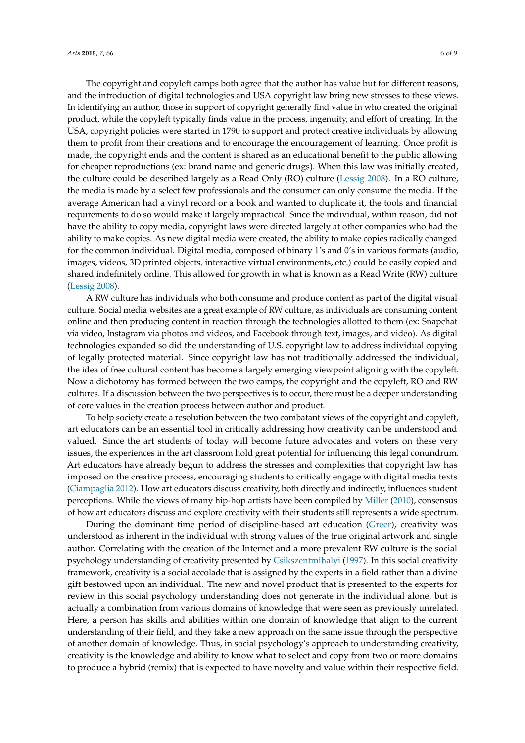The copyright and copyleft camps both agree that the author has value but for different reasons, and the introduction of digital technologies and USA copyright law bring new stresses to these views. In identifying an author, those in support of copyright generally find value in who created the original product, while the copyleft typically finds value in the process, ingenuity, and effort of creating. In the USA, copyright policies were started in 1790 to support and protect creative individuals by allowing them to profit from their creations and to encourage the encouragement of learning. Once profit is made, the copyright ends and the content is shared as an educational benefit to the public allowing for cheaper reproductions (ex: brand name and generic drugs). When this law was initially created, the culture could be described largely as a Read Only (RO) culture [\(Lessig](#page-8-9) [2008\)](#page-8-9). In a RO culture, the media is made by a select few professionals and the consumer can only consume the media. If the average American had a vinyl record or a book and wanted to duplicate it, the tools and financial requirements to do so would make it largely impractical. Since the individual, within reason, did not have the ability to copy media, copyright laws were directed largely at other companies who had the ability to make copies. As new digital media were created, the ability to make copies radically changed for the common individual. Digital media, composed of binary 1's and 0's in various formats (audio, images, videos, 3D printed objects, interactive virtual environments, etc.) could be easily copied and shared indefinitely online. This allowed for growth in what is known as a Read Write (RW) culture [\(Lessig](#page-8-9) [2008\)](#page-8-9).

A RW culture has individuals who both consume and produce content as part of the digital visual culture. Social media websites are a great example of RW culture, as individuals are consuming content online and then producing content in reaction through the technologies allotted to them (ex: Snapchat via video, Instagram via photos and videos, and Facebook through text, images, and video). As digital technologies expanded so did the understanding of U.S. copyright law to address individual copying of legally protected material. Since copyright law has not traditionally addressed the individual, the idea of free cultural content has become a largely emerging viewpoint aligning with the copyleft. Now a dichotomy has formed between the two camps, the copyright and the copyleft, RO and RW cultures. If a discussion between the two perspectives is to occur, there must be a deeper understanding of core values in the creation process between author and product.

To help society create a resolution between the two combatant views of the copyright and copyleft, art educators can be an essential tool in critically addressing how creativity can be understood and valued. Since the art students of today will become future advocates and voters on these very issues, the experiences in the art classroom hold great potential for influencing this legal conundrum. Art educators have already begun to address the stresses and complexities that copyright law has imposed on the creative process, encouraging students to critically engage with digital media texts [\(Ciampaglia](#page-7-3) [2012\)](#page-7-3). How art educators discuss creativity, both directly and indirectly, influences student perceptions. While the views of many hip-hop artists have been compiled by [Miller](#page-8-5) [\(2010\)](#page-8-5), consensus of how art educators discuss and explore creativity with their students still represents a wide spectrum.

During the dominant time period of discipline-based art education [\(Greer\)](#page-8-10), creativity was understood as inherent in the individual with strong values of the true original artwork and single author. Correlating with the creation of the Internet and a more prevalent RW culture is the social psychology understanding of creativity presented by [Csikszentmihalyi](#page-7-5) [\(1997\)](#page-7-5). In this social creativity framework, creativity is a social accolade that is assigned by the experts in a field rather than a divine gift bestowed upon an individual. The new and novel product that is presented to the experts for review in this social psychology understanding does not generate in the individual alone, but is actually a combination from various domains of knowledge that were seen as previously unrelated. Here, a person has skills and abilities within one domain of knowledge that align to the current understanding of their field, and they take a new approach on the same issue through the perspective of another domain of knowledge. Thus, in social psychology's approach to understanding creativity, creativity is the knowledge and ability to know what to select and copy from two or more domains to produce a hybrid (remix) that is expected to have novelty and value within their respective field.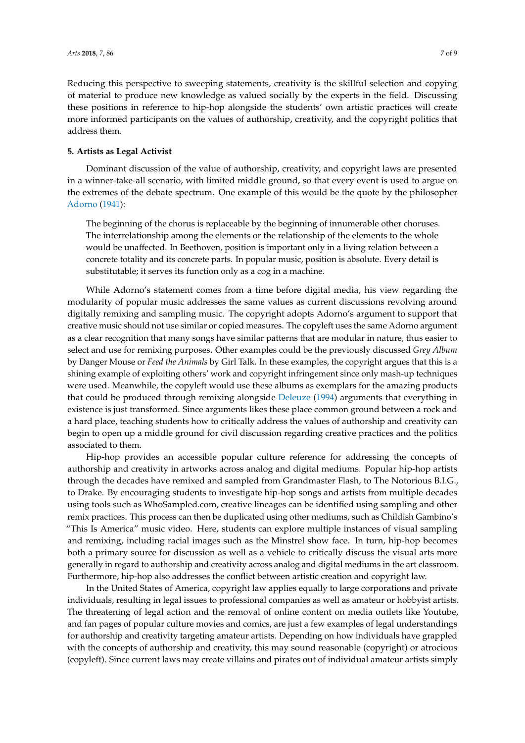Reducing this perspective to sweeping statements, creativity is the skillful selection and copying of material to produce new knowledge as valued socially by the experts in the field. Discussing these positions in reference to hip-hop alongside the students' own artistic practices will create more informed participants on the values of authorship, creativity, and the copyright politics that address them.

## **5. Artists as Legal Activist**

Dominant discussion of the value of authorship, creativity, and copyright laws are presented in a winner-take-all scenario, with limited middle ground, so that every event is used to argue on the extremes of the debate spectrum. One example of this would be the quote by the philosopher [Adorno](#page-7-6) [\(1941\)](#page-7-6):

The beginning of the chorus is replaceable by the beginning of innumerable other choruses. The interrelationship among the elements or the relationship of the elements to the whole would be unaffected. In Beethoven, position is important only in a living relation between a concrete totality and its concrete parts. In popular music, position is absolute. Every detail is substitutable; it serves its function only as a cog in a machine.

While Adorno's statement comes from a time before digital media, his view regarding the modularity of popular music addresses the same values as current discussions revolving around digitally remixing and sampling music. The copyright adopts Adorno's argument to support that creative music should not use similar or copied measures. The copyleft uses the same Adorno argument as a clear recognition that many songs have similar patterns that are modular in nature, thus easier to select and use for remixing purposes. Other examples could be the previously discussed *Grey Album* by Danger Mouse or *Feed the Animals* by Girl Talk. In these examples, the copyright argues that this is a shining example of exploiting others' work and copyright infringement since only mash-up techniques were used. Meanwhile, the copyleft would use these albums as exemplars for the amazing products that could be produced through remixing alongside [Deleuze](#page-7-7) [\(1994\)](#page-7-7) arguments that everything in existence is just transformed. Since arguments likes these place common ground between a rock and a hard place, teaching students how to critically address the values of authorship and creativity can begin to open up a middle ground for civil discussion regarding creative practices and the politics associated to them.

Hip-hop provides an accessible popular culture reference for addressing the concepts of authorship and creativity in artworks across analog and digital mediums. Popular hip-hop artists through the decades have remixed and sampled from Grandmaster Flash, to The Notorious B.I.G., to Drake. By encouraging students to investigate hip-hop songs and artists from multiple decades using tools such as WhoSampled.com, creative lineages can be identified using sampling and other remix practices. This process can then be duplicated using other mediums, such as Childish Gambino's "This Is America" music video. Here, students can explore multiple instances of visual sampling and remixing, including racial images such as the Minstrel show face. In turn, hip-hop becomes both a primary source for discussion as well as a vehicle to critically discuss the visual arts more generally in regard to authorship and creativity across analog and digital mediums in the art classroom. Furthermore, hip-hop also addresses the conflict between artistic creation and copyright law.

In the United States of America, copyright law applies equally to large corporations and private individuals, resulting in legal issues to professional companies as well as amateur or hobbyist artists. The threatening of legal action and the removal of online content on media outlets like Youtube, and fan pages of popular culture movies and comics, are just a few examples of legal understandings for authorship and creativity targeting amateur artists. Depending on how individuals have grappled with the concepts of authorship and creativity, this may sound reasonable (copyright) or atrocious (copyleft). Since current laws may create villains and pirates out of individual amateur artists simply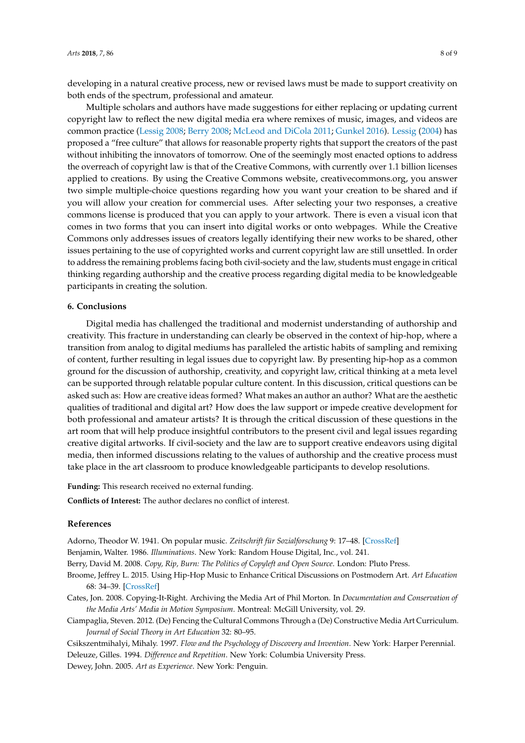developing in a natural creative process, new or revised laws must be made to support creativity on both ends of the spectrum, professional and amateur.

Multiple scholars and authors have made suggestions for either replacing or updating current copyright law to reflect the new digital media era where remixes of music, images, and videos are common practice [\(Lessig](#page-8-9) [2008;](#page-8-9) [Berry](#page-7-8) [2008;](#page-7-8) [McLeod and DiCola](#page-8-11) [2011;](#page-8-11) [Gunkel](#page-8-12) [2016\)](#page-8-12). [Lessig](#page-8-13) [\(2004\)](#page-8-13) has proposed a "free culture" that allows for reasonable property rights that support the creators of the past without inhibiting the innovators of tomorrow. One of the seemingly most enacted options to address the overreach of copyright law is that of the Creative Commons, with currently over 1.1 billion licenses applied to creations. By using the Creative Commons website, creativecommons.org, you answer two simple multiple-choice questions regarding how you want your creation to be shared and if you will allow your creation for commercial uses. After selecting your two responses, a creative commons license is produced that you can apply to your artwork. There is even a visual icon that comes in two forms that you can insert into digital works or onto webpages. While the Creative Commons only addresses issues of creators legally identifying their new works to be shared, other issues pertaining to the use of copyrighted works and current copyright law are still unsettled. In order to address the remaining problems facing both civil-society and the law, students must engage in critical thinking regarding authorship and the creative process regarding digital media to be knowledgeable participants in creating the solution.

#### **6. Conclusions**

Digital media has challenged the traditional and modernist understanding of authorship and creativity. This fracture in understanding can clearly be observed in the context of hip-hop, where a transition from analog to digital mediums has paralleled the artistic habits of sampling and remixing of content, further resulting in legal issues due to copyright law. By presenting hip-hop as a common ground for the discussion of authorship, creativity, and copyright law, critical thinking at a meta level can be supported through relatable popular culture content. In this discussion, critical questions can be asked such as: How are creative ideas formed? What makes an author an author? What are the aesthetic qualities of traditional and digital art? How does the law support or impede creative development for both professional and amateur artists? It is through the critical discussion of these questions in the art room that will help produce insightful contributors to the present civil and legal issues regarding creative digital artworks. If civil-society and the law are to support creative endeavors using digital media, then informed discussions relating to the values of authorship and the creative process must take place in the art classroom to produce knowledgeable participants to develop resolutions.

**Funding:** This research received no external funding.

**Conflicts of Interest:** The author declares no conflict of interest.

#### **References**

<span id="page-7-6"></span>Adorno, Theodor W. 1941. On popular music. *Zeitschrift für Sozialforschung* 9: 17–48. [\[CrossRef\]](http://dx.doi.org/10.5840/zfs1941913)

<span id="page-7-2"></span>Benjamin, Walter. 1986. *Illuminations*. New York: Random House Digital, Inc., vol. 241.

<span id="page-7-8"></span>Berry, David M. 2008. *Copy, Rip, Burn: The Politics of Copyleft and Open Source*. London: Pluto Press.

- <span id="page-7-0"></span>Broome, Jeffrey L. 2015. Using Hip-Hop Music to Enhance Critical Discussions on Postmodern Art. *Art Education* 68: 34–39. [\[CrossRef\]](http://dx.doi.org/10.1080/00043125.2015.11519337)
- <span id="page-7-4"></span>Cates, Jon. 2008. Copying-It-Right. Archiving the Media Art of Phil Morton. In *Documentation and Conservation of the Media Arts' Media in Motion Symposium*. Montreal: McGill University, vol. 29.
- <span id="page-7-3"></span>Ciampaglia, Steven. 2012. (De) Fencing the Cultural Commons Through a (De) Constructive Media Art Curriculum. *Journal of Social Theory in Art Education* 32: 80–95.

<span id="page-7-7"></span><span id="page-7-5"></span><span id="page-7-1"></span>Csikszentmihalyi, Mihaly. 1997. *Flow and the Psychology of Discovery and Invention*. New York: Harper Perennial. Deleuze, Gilles. 1994. *Difference and Repetition*. New York: Columbia University Press. Dewey, John. 2005. *Art as Experience*. New York: Penguin.